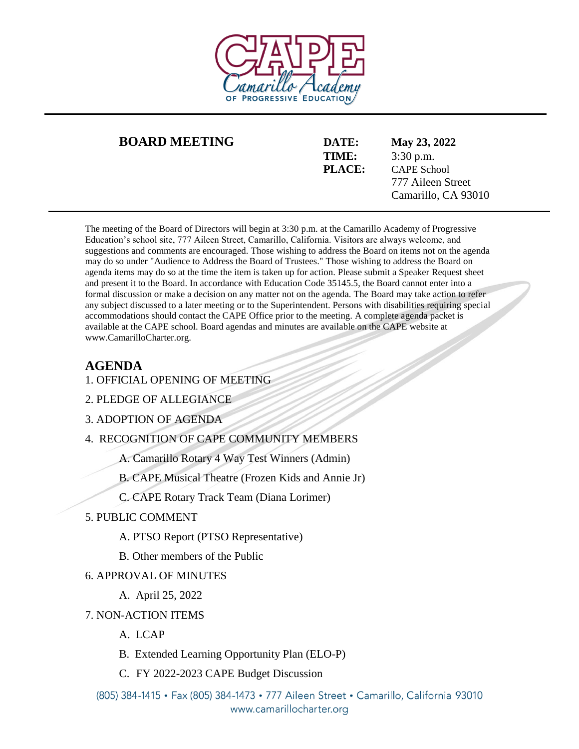

### **BOARD MEETING DATE: May 23, 2022**

**TIME:** 3:30 p.m. **PLACE:** CAPE School 777 Aileen Street Camarillo, CA 93010

The meeting of the Board of Directors will begin at 3:30 p.m. at the Camarillo Academy of Progressive Education's school site, 777 Aileen Street, Camarillo, California. Visitors are always welcome, and suggestions and comments are encouraged. Those wishing to address the Board on items not on the agenda may do so under "Audience to Address the Board of Trustees." Those wishing to address the Board on agenda items may do so at the time the item is taken up for action. Please submit a Speaker Request sheet and present it to the Board. In accordance with Education Code 35145.5, the Board cannot enter into a formal discussion or make a decision on any matter not on the agenda. The Board may take action to refer any subject discussed to a later meeting or to the Superintendent. Persons with disabilities requiring special accommodations should contact the CAPE Office prior to the meeting. A complete agenda packet is available at the CAPE school. Board agendas and minutes are available on the CAPE website at www.CamarilloCharter.org.

# **AGENDA**

- 1. OFFICIAL OPENING OF MEETING
- 2. PLEDGE OF ALLEGIANCE

3. ADOPTION OF AGENDA

- 4. RECOGNITION OF CAPE COMMUNITY MEMBERS
	- A. Camarillo Rotary 4 Way Test Winners (Admin)
	- B. CAPE Musical Theatre (Frozen Kids and Annie Jr)
	- C. CAPE Rotary Track Team (Diana Lorimer)
- 5. PUBLIC COMMENT
	- A. PTSO Report (PTSO Representative)
	- B. Other members of the Public

## 6. APPROVAL OF MINUTES

- A. April 25, 2022
- 7. NON-ACTION ITEMS
	- A. LCAP
	- B. Extended Learning Opportunity Plan (ELO-P)
	- C. FY 2022-2023 CAPE Budget Discussion